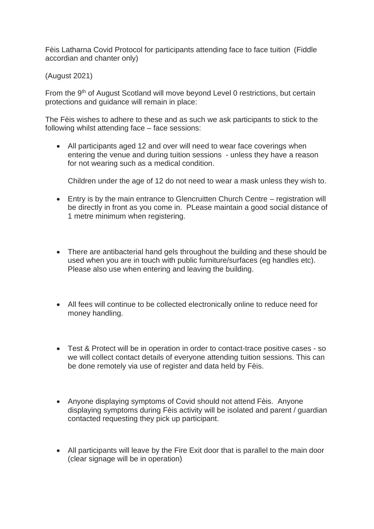Fèis Latharna Covid Protocol for participants attending face to face tuition (Fiddle accordian and chanter only)

(August 2021)

From the 9<sup>th</sup> of August Scotland will move beyond Level 0 restrictions, but certain protections and guidance will remain in place:

The Fèis wishes to adhere to these and as such we ask participants to stick to the following whilst attending face – face sessions:

• All participants aged 12 and over will need to wear face coverings when entering the venue and during tuition sessions - unless they have a reason for not wearing such as a medical condition.

Children under the age of 12 do not need to wear a mask unless they wish to.

- Entry is by the main entrance to Glencruitten Church Centre registration will be directly in front as you come in. PLease maintain a good social distance of 1 metre minimum when registering.
- There are antibacterial hand gels throughout the building and these should be used when you are in touch with public furniture/surfaces (eg handles etc). Please also use when entering and leaving the building.
- All fees will continue to be collected electronically online to reduce need for money handling.
- Test & Protect will be in operation in order to contact-trace positive cases so we will collect contact details of everyone attending tuition sessions. This can be done remotely via use of register and data held by Fèis.
- Anyone displaying symptoms of Covid should not attend Fèis. Anyone displaying symptoms during Fèis activity will be isolated and parent / guardian contacted requesting they pick up participant.
- All participants will leave by the Fire Exit door that is parallel to the main door (clear signage will be in operation)